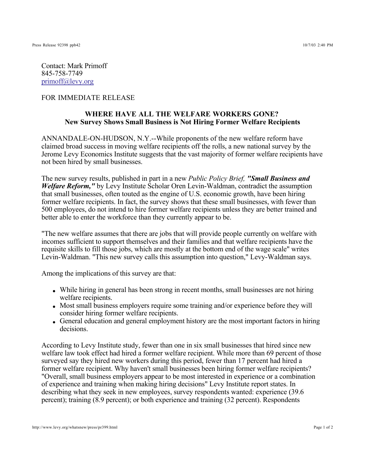Contact: Mark Primoff 845-758-7749 primoff@levy.org

## FOR IMMEDIATE RELEASE

## **WHERE HAVE ALL THE WELFARE WORKERS GONE? New Survey Shows Small Business is Not Hiring Former Welfare Recipients**

ANNANDALE-ON-HUDSON, N.Y.--While proponents of the new welfare reform have claimed broad success in moving welfare recipients off the rolls, a new national survey by the Jerome Levy Economics Institute suggests that the vast majority of former welfare recipients have not been hired by small businesses.

The new survey results, published in part in a new *Public Policy Brief, "Small Business and Welfare Reform,"* by Levy Institute Scholar Oren Levin-Waldman, contradict the assumption that small businesses, often touted as the engine of U.S. economic growth, have been hiring former welfare recipients. In fact, the survey shows that these small businesses, with fewer than 500 employees, do not intend to hire former welfare recipients unless they are better trained and better able to enter the workforce than they currently appear to be.

"The new welfare assumes that there are jobs that will provide people currently on welfare with incomes sufficient to support themselves and their families and that welfare recipients have the requisite skills to fill those jobs, which are mostly at the bottom end of the wage scale" writes Levin-Waldman. "This new survey calls this assumption into question," Levy-Waldman says.

Among the implications of this survey are that:

- While hiring in general has been strong in recent months, small businesses are not hiring welfare recipients.
- Most small business employers require some training and/or experience before they will consider hiring former welfare recipients.
- General education and general employment history are the most important factors in hiring decisions.

According to Levy Institute study, fewer than one in six small businesses that hired since new welfare law took effect had hired a former welfare recipient. While more than 69 percent of those surveyed say they hired new workers during this period, fewer than 17 percent had hired a former welfare recipient. Why haven't small businesses been hiring former welfare recipients? "Overall, small business employers appear to be most interested in experience or a combination of experience and training when making hiring decisions" Levy Institute report states. In describing what they seek in new employees, survey respondents wanted: experience (39.6 percent); training (8.9 percent); or both experience and training (32 percent). Respondents